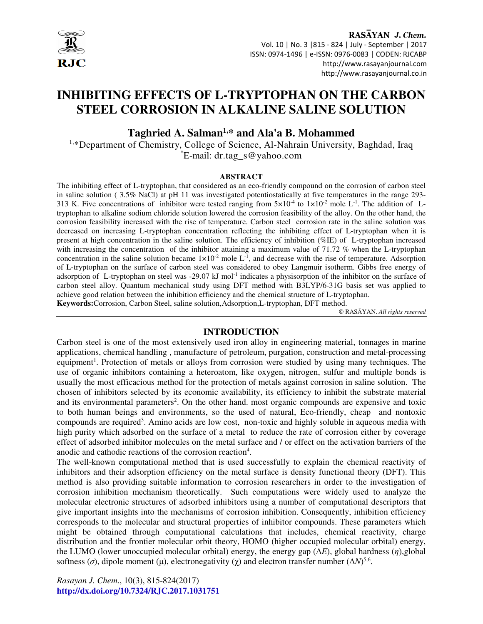

RASAYAN J. Chem. Vol. 10 | No. 3 |815 - 824 | July - September | 2017 ISSN: 0974-1496 | e-ISSN: 0976-0083 | CODEN: RJCABP http://www.rasayanjournal.com http://www.rasayanjournal.co.in

# **INHIBITING EFFECTS OF L-TRYPTOPHAN ON THE CARBON STEEL CORROSION IN ALKALINE SALINE SOLUTION**

# **Taghried A. Salman1,\* and Ala'a B. Mohammed**

1,\*Department of Chemistry, College of Science, Al-Nahrain University, Baghdad, Iraq \*E-mail: dr.tag\_s@yahoo.com

#### **ABSTRACT**

The inhibiting effect of L-tryptophan, that considered as an eco-friendly compound on the corrosion of carbon steel in saline solution ( 3.5% NaCl) at pH 11 was investigated potentiostatically at five temperatures in the range 293- 313 K. Five concentrations of inhibitor were tested ranging from  $5\times10^{-4}$  to  $1\times10^{-2}$  mole L<sup>-1</sup>. The addition of Ltryptophan to alkaline sodium chloride solution lowered the corrosion feasibility of the alloy. On the other hand, the corrosion feasibility increased with the rise of temperature. Carbon steel corrosion rate in the saline solution was decreased on increasing L-tryptophan concentration reflecting the inhibiting effect of L-tryptophan when it is present at high concentration in the saline solution. The efficiency of inhibition (%IE) of L-tryptophan increased with increasing the concentration of the inhibitor attaining a maximum value of 71.72 % when the L-tryptophan concentration in the saline solution became  $1 \times 10^{-2}$  mole L<sup>-1</sup>, and decrease with the rise of temperature. Adsorption of L-tryptophan on the surface of carbon steel was considered to obey Langmuir isotherm. Gibbs free energy of adsorption of L-tryptophan on steel was -29.07 kJ mol-1 indicates a physisorption of the inhibitor on the surface of carbon steel alloy. Quantum mechanical study using DFT method with B3LYP/6-31G basis set was applied to achieve good relation between the inhibition efficiency and the chemical structure of L-tryptophan. **Keywords:**Corrosion, Carbon Steel, saline solution,Adsorption,L-tryptophan, DFT method.

© RASĀYAN. *All rights reserved*

## **INTRODUCTION**

Carbon steel is one of the most extensively used iron alloy in engineering material, tonnages in marine applications, chemical handling , manufacture of petroleum, purgation, construction and metal-processing equipment<sup>1</sup>. Protection of metals or alloys from corrosion were studied by using many techniques. The use of organic inhibitors containing a heteroatom, like oxygen, nitrogen, sulfur and multiple bonds is usually the most efficacious method for the protection of metals against corrosion in saline solution. The chosen of inhibitors selected by its economic availability, its efficiency to inhibit the substrate material and its environmental parameters<sup>2</sup>. On the other hand. most organic compounds are expensive and toxic to both human beings and environments, so the used of natural, Eco-friendly, cheap and nontoxic compounds are required<sup>3</sup>. Amino acids are low cost, non-toxic and highly soluble in aqueous media with high purity which adsorbed on the surface of a metal to reduce the rate of corrosion either by coverage effect of adsorbed inhibitor molecules on the metal surface and / or effect on the activation barriers of the anodic and cathodic reactions of the corrosion reaction<sup>4</sup>.

The well-known computational method that is used successfully to explain the chemical reactivity of inhibitors and their adsorption efficiency on the metal surface is density functional theory (DFT). This method is also providing suitable information to corrosion researchers in order to the investigation of corrosion inhibition mechanism theoretically. Such computations were widely used to analyze the molecular electronic structures of adsorbed inhibitors using a number of computational descriptors that give important insights into the mechanisms of corrosion inhibition. Consequently, inhibition efficiency corresponds to the molecular and structural properties of inhibitor compounds. These parameters which might be obtained through computational calculations that includes, chemical reactivity, charge distribution and the frontier molecular orbit theory, HOMO (higher occupied molecular orbital) energy, the LUMO (lower unoccupied molecular orbital) energy, the energy gap (∆*E*), global hardness (*η*),global softness ( $\sigma$ ), dipole moment ( $\mu$ ), electronegativity ( $\chi$ ) and electron transfer number ( $\Delta N$ <sup>5,6</sup>.

*Rasayan J. Chem*., 10(3), 815-824(2017) **http://dx.doi.org/10.7324/RJC.2017.1031751**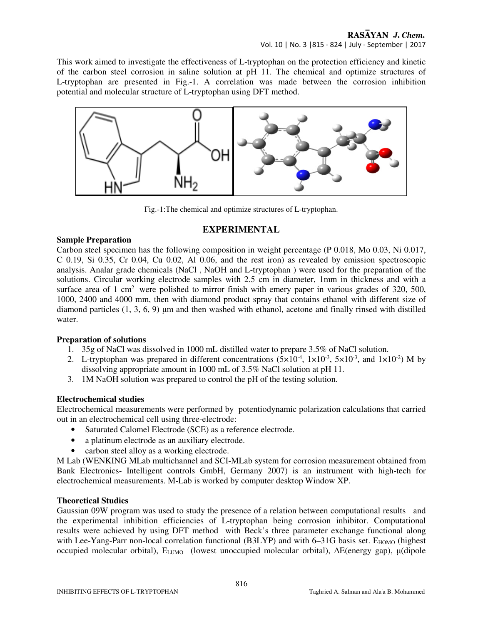This work aimed to investigate the effectiveness of L-tryptophan on the protection efficiency and kinetic of the carbon steel corrosion in saline solution at pH 11. The chemical and optimize structures of L-tryptophan are presented in Fig.-1. A correlation was made between the corrosion inhibition potential and molecular structure of L-tryptophan using DFT method.



Fig.-1:The chemical and optimize structures of L-tryptophan.

# **EXPERIMENTAL**

## **Sample Preparation**

Carbon steel specimen has the following composition in weight percentage (P 0.018, Mo 0.03, Ni 0.017, C 0.19, Si 0.35, Cr 0.04, Cu 0.02, Al 0.06, and the rest iron) as revealed by emission spectroscopic analysis. Analar grade chemicals (NaCl , NaOH and L-tryptophan ) were used for the preparation of the solutions. Circular working electrode samples with 2.5 cm in diameter, 1mm in thickness and with a surface area of 1 cm<sup>2</sup> were polished to mirror finish with emery paper in various grades of 320, 500, 1000, 2400 and 4000 mm, then with diamond product spray that contains ethanol with different size of diamond particles  $(1, 3, 6, 9)$  µm and then washed with ethanol, acetone and finally rinsed with distilled water.

# **Preparation of solutions**

- 1. 35g of NaCl was dissolved in 1000 mL distilled water to prepare 3.5% of NaCl solution.
- 2. L-tryptophan was prepared in different concentrations  $(5 \times 10^{-4}, 1 \times 10^{-3}, 5 \times 10^{-3},$  and  $1 \times 10^{-2})$  M by dissolving appropriate amount in 1000 mL of 3.5% NaCl solution at pH 11.
- 3. 1M NaOH solution was prepared to control the pH of the testing solution.

# **Electrochemical studies**

Electrochemical measurements were performed by potentiodynamic polarization calculations that carried out in an electrochemical cell using three-electrode:

- Saturated Calomel Electrode (SCE) as a reference electrode.
- a platinum electrode as an auxiliary electrode.
- carbon steel alloy as a working electrode.

M Lab (WENKING MLab multichannel and SCI-MLab system for corrosion measurement obtained from Bank Electronics- Intelligent controls GmbH, Germany 2007) is an instrument with high-tech for electrochemical measurements. M-Lab is worked by computer desktop Window XP.

# **Theoretical Studies**

Gaussian 09W program was used to study the presence of a relation between computational results and the experimental inhibition efficiencies of L-tryptophan being corrosion inhibitor. Computational results were achieved by using DFT method with Beck's three parameter exchange functional along with Lee-Yang-Parr non-local correlation functional (B3LYP) and with  $6-31G$  basis set.  $E_{HOMO}$  (highest occupied molecular orbital), E<sub>LUMO</sub> (lowest unoccupied molecular orbital), ΔE(energy gap), μ(dipole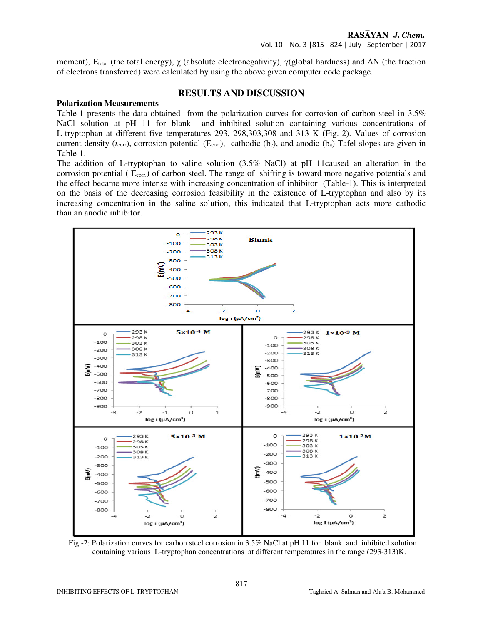moment), E<sub>total</sub> (the total energy),  $\chi$  (absolute electronegativity),  $\gamma$ (global hardness) and ∆N (the fraction of electrons transferred) were calculated by using the above given computer code package.

## **RESULTS AND DISCUSSION**

#### **Polarization Measurements**

Table-1 presents the data obtained from the polarization curves for corrosion of carbon steel in 3.5% NaCl solution at pH 11 for blank and inhibited solution containing various concentrations of L-tryptophan at different five temperatures 293, 298,303,308 and 313 K (Fig.-2). Values of corrosion current density ( $i_{\text{corr}}$ ), corrosion potential ( $E_{\text{corr}}$ ), cathodic ( $b_c$ ), and anodic ( $b_a$ ) Tafel slopes are given in Table-1.

The addition of L-tryptophan to saline solution (3.5% NaCl) at pH 11caused an alteration in the corrosion potential (  $E_{\text{corr}}$ ) of carbon steel. The range of shifting is toward more negative potentials and the effect became more intense with increasing concentration of inhibitor (Table-1). This is interpreted on the basis of the decreasing corrosion feasibility in the existence of L-tryptophan and also by its increasing concentration in the saline solution, this indicated that L-tryptophan acts more cathodic than an anodic inhibitor.



 Fig.-2: Polarization curves for carbon steel corrosion in 3.5% NaCl at pH 11 for blank and inhibited solution containing various L-tryptophan concentrations at different temperatures in the range (293-313)K.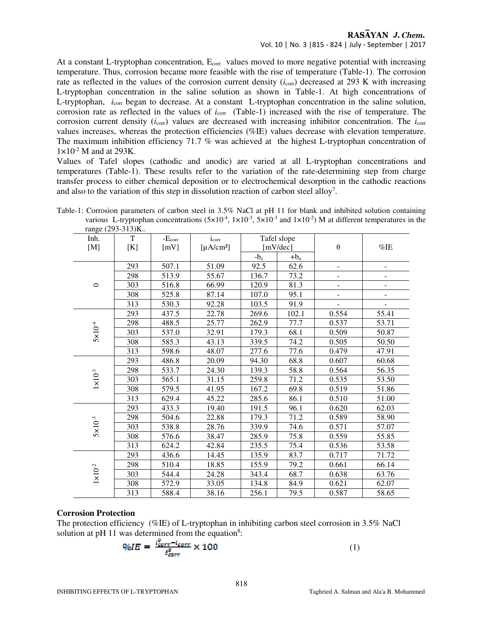# RASAYAN J. Chem.

#### Vol. 10 | No. 3 |815 - 824 | July - September | 2017

At a constant L-tryptophan concentration, E<sub>corr</sub> values moved to more negative potential with increasing temperature. Thus, corrosion became more feasible with the rise of temperature (Table-1). The corrosion rate as reflected in the values of the corrosion current density  $(i_{\text{corr}})$  decreased at 293 K with increasing L-tryptophan concentration in the saline solution as shown in Table-1. At high concentrations of L-tryptophan, *i*<sub>corr</sub> began to decrease. At a constant L-tryptophan concentration in the saline solution, corrosion rate as reflected in the values of  $i_{corr}$  (Table-1) increased with the rise of temperature. The corrosion current density (*i*<sub>corr</sub>) values are decreased with increasing inhibitor concentration. The *i*<sub>corr</sub> values increases, whereas the protection efficiencies (%IE) values decrease with elevation temperature. The maximum inhibition efficiency 71.7 % was achieved at the highest L-tryptophan concentration of  $1\times10^{-2}$  M and at 293K.

Values of Tafel slopes (cathodic and anodic) are varied at all L-tryptophan concentrations and temperatures (Table-1). These results refer to the variation of the rate-determining step from charge transfer process to either chemical deposition or to electrochemical desorption in the cathodic reactions and also to the variation of this step in dissolution reaction of carbon steel alloy<sup>7</sup>.

| Table-1: Corrosion parameters of carbon steel in 3.5% NaCl at pH 11 for blank and inhibited solution containing                                        |  |  |  |  |
|--------------------------------------------------------------------------------------------------------------------------------------------------------|--|--|--|--|
| various L-tryptophan concentrations $(5 \times 10^{-4}, 1 \times 10^{-3}, 5 \times 10^{-3}$ and $1 \times 10^{-2})$ M at different temperatures in the |  |  |  |  |
| range (293-313)K                                                                                                                                       |  |  |  |  |

| range $(293-313)$ N |                                                       |          |            |              |         |                |                          |
|---------------------|-------------------------------------------------------|----------|------------|--------------|---------|----------------|--------------------------|
| Inh.                | T                                                     | $-Ecorr$ | $i_{corr}$ | Tafel slope  |         |                |                          |
| [M]                 | [K]<br>[mV]<br>[ $\mu$ A/cm <sup>2</sup> ]<br>mV/dec] |          |            | $\theta$     | $\%$ IE |                |                          |
|                     |                                                       |          |            | $-b_{\rm c}$ | $+b_a$  |                |                          |
|                     | 293                                                   | 507.1    | 51.09      | 92.5         | 62.6    |                |                          |
|                     | 298                                                   | 513.9    | 55.67      | 136.7        | 73.2    |                |                          |
| $\circ$             | 303                                                   | 516.8    | 66.99      | 120.9        | 81.3    |                | $\overline{\phantom{0}}$ |
|                     | 308                                                   | 525.8    | 87.14      | 107.0        | 95.1    | $\blacksquare$ | $\overline{\phantom{0}}$ |
|                     | 313                                                   | 530.3    | 92.28      | 103.5        | 91.9    |                |                          |
|                     | 293                                                   | 437.5    | 22.78      | 269.6        | 102.1   | 0.554          | 55.41                    |
|                     | 298                                                   | 488.5    | 25.77      | 262.9        | 77.7    | 0.537          | 53.71                    |
| $5 \times 10^{-4}$  | 303                                                   | 537.0    | 32.91      | 179.3        | 68.1    | 0.509          | 50.87                    |
|                     | 308                                                   | 585.3    | 43.13      | 339.5        | 74.2    | 0.505          | 50.50                    |
|                     | 313                                                   | 598.6    | 48.07      | 277.6        | 77.6    | 0.479          | 47.91                    |
|                     | 293                                                   | 486.8    | 20.09      | 94.30        | 68.8    | 0.607          | 60.68                    |
|                     | 298                                                   | 533.7    | 24.30      | 139.3        | 58.8    | 0.564          | 56.35                    |
| $1\times10^{-3}$    | 303                                                   | 565.1    | 31.15      | 259.8        | 71.2    | 0.535          | 53.50                    |
|                     | 308                                                   | 579.5    | 41.95      | 167.2        | 69.8    | 0.519          | 51.86                    |
|                     | 313                                                   | 629.4    | 45.22      | 285.6        | 86.1    | 0.510          | 51.00                    |
|                     | 293                                                   | 433.3    | 19.40      | 191.5        | 96.1    | 0.620          | 62.03                    |
|                     | 298                                                   | 504.6    | 22.88      | 179.3        | 71.2    | 0.589          | 58.90                    |
| $5\times10^{-3}$    | 303                                                   | 538.8    | 28.76      | 339.9        | 74.6    | 0.571          | 57.07                    |
|                     | 308                                                   | 576.6    | 38.47      | 285.9        | 75.8    | 0.559          | 55.85                    |
|                     | 313                                                   | 624.2    | 42.84      | 235.5        | 75.4    | 0.536          | 53.58                    |
|                     | 293                                                   | 436.6    | 14.45      | 135.9        | 83.7    | 0.717          | 71.72                    |
|                     | 298                                                   | 510.4    | 18.85      | 155.9        | 79.2    | 0.661          | 66.14                    |
| $1\times10^{-2}$    | 303                                                   | 544.4    | 24.28      | 343.4        | 68.7    | 0.638          | 63.76                    |
|                     | 308                                                   | 572.9    | 33.05      | 134.8        | 84.9    | 0.621          | 62.07                    |
|                     | 313                                                   | 588.4    | 38.16      | 256.1        | 79.5    | 0.587          | 58.65                    |

#### **Corrosion Protection**

The protection efficiency (%IE) of L-tryptophan in inhibiting carbon steel corrosion in 3.5% NaCl solution at pH 11 was determined from the equation<sup>8</sup>:

$$
\%IE = \frac{\frac{v_{corr} - i_{corr}}{t_{corr}^0}}{\frac{v_{corr}}{t_{corr}^0}} \times 100\tag{1}
$$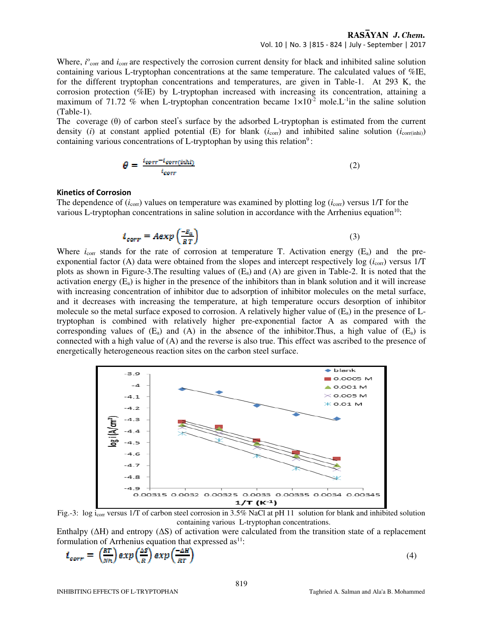## RASAYAN J. Chem.

Vol. 10 | No. 3 |815 - 824 | July - September | 2017

Where, *i*<sup>o</sup><sub>corr</sub> and *i*<sub>corr</sub> are respectively the corrosion current density for black and inhibited saline solution containing various L-tryptophan concentrations at the same temperature. The calculated values of %IE, for the different tryptophan concentrations and temperatures, are given in Table-1. At 293 K, the corrosion protection (%IE) by L-tryptophan increased with increasing its concentration, attaining a maximum of 71.72 % when L-tryptophan concentration became  $1 \times 10^{-2}$  mole. L<sup>-1</sup>in the saline solution (Table-1).

The coverage (θ) of carbon steel**'** s surface by the adsorbed L-tryptophan is estimated from the current density (*i*) at constant applied potential (E) for blank  $(i_{corr})$  and inhibited saline solution  $(i_{corr(inti)})$ containing various concentrations of L-tryptophan by using this relation<sup>9</sup>:

$$
\theta = \frac{t_{corr} - t_{corr(inh1)}}{t_{corr}} \tag{2}
$$

#### **Kinetics of Corrosion**

The dependence of  $(i_{\text{corr}})$  values on temperature was examined by plotting  $\log(i_{\text{corr}})$  versus 1/T for the various L-tryptophan concentrations in saline solution in accordance with the Arrhenius equation<sup>10</sup>:

$$
i_{corr} = Aexp\left(\frac{-E_a}{RT}\right) \tag{3}
$$

Where  $i_{\text{corr}}$  stands for the rate of corrosion at temperature T. Activation energy  $(E_a)$  and the preexponential factor (A) data were obtained from the slopes and intercept respectively log  $(i_{\text{corr}})$  versus 1/T plots as shown in Figure-3. The resulting values of  $(E_a)$  and  $(A)$  are given in Table-2. It is noted that the activation energy  $(E_a)$  is higher in the presence of the inhibitors than in blank solution and it will increase with increasing concentration of inhibitor due to adsorption of inhibitor molecules on the metal surface, and it decreases with increasing the temperature, at high temperature occurs desorption of inhibitor molecule so the metal surface exposed to corrosion. A relatively higher value of  $(E_a)$  in the presence of Ltryptophan is combined with relatively higher pre-exponential factor A as compared with the corresponding values of  $(E_a)$  and  $(A)$  in the absence of the inhibitor. Thus, a high value of  $(E_a)$  is connected with a high value of (A) and the reverse is also true. This effect was ascribed to the presence of energetically heterogeneous reaction sites on the carbon steel surface.



Fig.-3: log i<sub>corr</sub> versus 1/T of carbon steel corrosion in 3.5% NaCl at pH 11 solution for blank and inhibited solution containing various L-tryptophan concentrations.

Enthalpy (∆H) and entropy (∆S) of activation were calculated from the transition state of a replacement formulation of Arrhenius equation that expressed  $as<sup>11</sup>$ :

$$
t_{corr} = \left(\frac{RT}{Nh}\right) exp\left(\frac{\Delta S}{R}\right) exp\left(\frac{-\Delta H}{RT}\right)
$$

(4)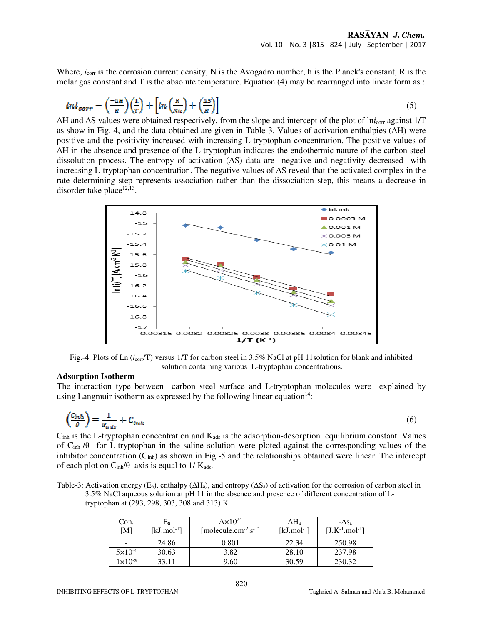Where,  $i_{\text{corr}}$  is the corrosion current density, N is the Avogadro number, h is the Planck's constant, R is the molar gas constant and T is the absolute temperature. Equation (4) may be rearranged into linear form as :

$$
ln i_{corr} = \left(\frac{-\Delta H}{R}\right)\left(\frac{1}{T}\right) + \left[ln\left(\frac{R}{Nh}\right) + \left(\frac{\Delta S}{R}\right)\right]
$$
\n(5)

∆H and ∆S values were obtained respectively, from the slope and intercept of the plot of ln*i*corr against 1/T as show in Fig.-4, and the data obtained are given in Table-3. Values of activation enthalpies (∆H) were positive and the positivity increased with increasing L-tryptophan concentration. The positive values of ∆H in the absence and presence of the L-tryptophan indicates the endothermic nature of the carbon steel dissolution process. The entropy of activation (∆S) data are negative and negativity decreased with increasing L-tryptophan concentration. The negative values of ∆S reveal that the activated complex in the rate determining step represents association rather than the dissociation step, this means a decrease in disorder take place $12,13$ .



Fig.-4: Plots of Ln (*i*<sub>corr</sub>/T) versus 1/T for carbon steel in 3.5% NaCl at pH 11solution for blank and inhibited solution containing various L-tryptophan concentrations.

#### **Adsorption Isotherm**

The interaction type between carbon steel surface and L-tryptophan molecules were explained by using Langmuir isotherm as expressed by the following linear equation<sup>14</sup>:

$$
\left(\frac{C_{in}h}{\theta}\right) = \frac{1}{R_{ads}} + C_{inah}
$$
\n(6)

 $C<sub>inh</sub>$  is the L-tryptophan concentration and  $K<sub>ads</sub>$  is the adsorption-desorption equilibrium constant. Values of Cinh /θ for L-tryptophan in the saline solution were ploted against the corresponding values of the inhibitor concentration  $(C_{inh})$  as shown in Fig.-5 and the relationships obtained were linear. The intercept of each plot on  $C_{inh}/\theta$  axis is equal to 1/  $K_{ads}$ .

Table-3: Activation energy (E<sub>a</sub>), enthalpy ( $\Delta H_a$ ), and entropy ( $\Delta S_a$ ) of activation for the corrosion of carbon steel in 3.5% NaCl aqueous solution at pH 11 in the absence and presence of different concentration of Ltryptophan at (293, 298, 303, 308 and 313) K.

| Con.<br>[M]        | E,<br>[kJ.mol <sup>-1</sup> ] | $Ax10^{24}$<br>$[molecule.cm^{-2}.s^{-1}]$ | $\Delta H_{\rm a}$<br>$[kJ$ .mol <sup>-1</sup> ] | $-\Delta s_a$<br>$[J.K^{-1}.mol^{-1}]$ |
|--------------------|-------------------------------|--------------------------------------------|--------------------------------------------------|----------------------------------------|
|                    | 24.86                         | 0.801                                      | 22.34                                            | 250.98                                 |
| $5 \times 10^{-4}$ | 30.63                         | 3.82                                       | 28.10                                            | 237.98                                 |
| $1\times10^{-3}$   | 33.11                         | 9.60                                       | 30.59                                            | 230.32                                 |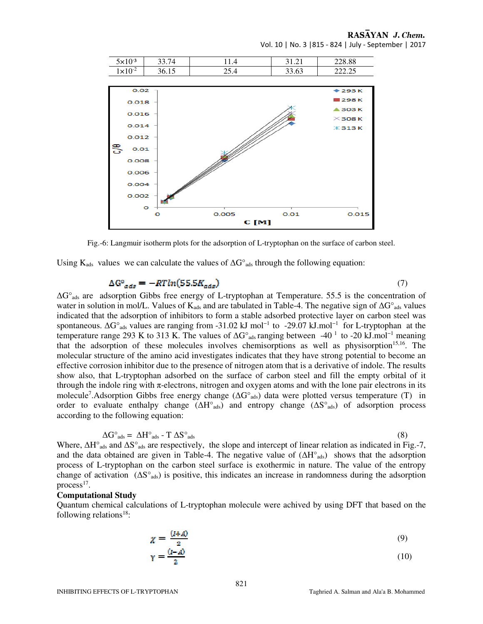Vol. 10 | No. 3 |815 - 824 | July - September | 2017

RASAYAN J. Chem.



Fig.-6: Langmuir isotherm plots for the adsorption of L-tryptophan on the surface of carbon steel.

Using K<sub>ads</sub> values we can calculate the values of  $\Delta G^{\circ}$ <sub>ads</sub> through the following equation:

## $\Delta G^{\circ}{}_{ads} = -RTln(55.5K_{ads})$  (7)

∆G°ads are adsorption Gibbs free energy of L-tryptophan at Temperature. 55.5 is the concentration of water in solution in mol/L. Values of K<sub>ads</sub> and are tabulated in Table-4. The negative sign of  $\Delta G^{\circ}{}_{\text{ads}}$  values indicated that the adsorption of inhibitors to form a stable adsorbed protective layer on carbon steel was spontaneous. ∆G°<sub>ads</sub> values are ranging from -31.02 kJ mol<sup>-1</sup> to -29.07 kJ.mol<sup>-1</sup> for L-tryptophan at the temperature range 293 K to 313 K. The values of  $\Delta G^{\circ}$ <sub>ads</sub> ranging between -40<sup>-1</sup> to -20 kJ.mol<sup>-1</sup> meaning that the adsorption of these molecules involves chemisorptions as well as physisorption<sup>15,16</sup>. The molecular structure of the amino acid investigates indicates that they have strong potential to become an effective corrosion inhibitor due to the presence of nitrogen atom that is a derivative of indole. The results show also, that L-tryptophan adsorbed on the surface of carbon steel and fill the empty orbital of it through the indole ring with  $\pi$ -electrons, nitrogen and oxygen atoms and with the lone pair electrons in its molecule<sup>7</sup>.Adsorption Gibbs free energy change (ΔG°<sub>ads</sub>) data were plotted versus temperature (T) in order to evaluate enthalpy change  $(\Delta H^{\circ}_{ads})$  and entropy change  $(\Delta S^{\circ}_{ads})$  of adsorption process according to the following equation:

$$
\Delta G^{\circ}{}_{ads} = \Delta H^{\circ}{}_{ads} - T \Delta S^{\circ}{}_{ads} \tag{8}
$$

Where,  $\Delta H^{\circ}$ <sub>ads</sub> and  $\Delta S^{\circ}$ <sub>ads</sub> are respectively, the slope and intercept of linear relation as indicated in Fig.-7, and the data obtained are given in Table-4. The negative value of (∆H°ads) shows that the adsorption process of L-tryptophan on the carbon steel surface is exothermic in nature. The value of the entropy change of activation (∆S°ads) is positive, this indicates an increase in randomness during the adsorption process<sup>17</sup>.

#### **Computational Study**

Quantum chemical calculations of L-tryptophan molecule were achived by using DFT that based on the following relations<sup>18</sup>:

$$
\chi = \frac{(t+A)}{2}
$$
(9)  

$$
\gamma = \frac{(t-A)}{2}
$$
(10)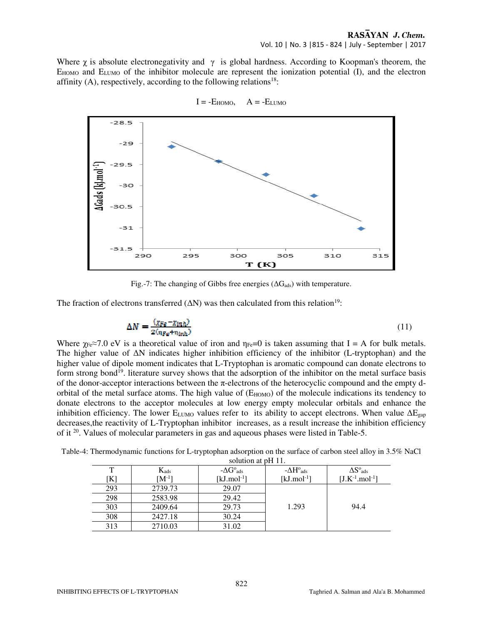Where  $\chi$  is absolute electronegativity and  $\gamma$  is global hardness. According to Koopman's theorem, the  $E_{HOMO}$  and  $E_{LUMO}$  of the inhibitor molecule are represent the ionization potential  $(I)$ , and the electron affinity  $(A)$ , respectively, according to the following relations<sup>18</sup>:



 $I = -E_{HOMO}$ ,  $A = -E_{LUMO}$ 

Fig.-7: The changing of Gibbs free energies ( $\Delta G_{ads}$ ) with temperature.

The fraction of electrons transferred  $(ΔN)$  was then calculated from this relation<sup>19</sup>:

$$
\Delta N = \frac{(\chi_{Fg} - \chi_{inh})}{2(n_{Fg} + n_{inh})} \tag{11}
$$

Where  $\gamma_{Fe} \approx 7.0$  eV is a theoretical value of iron and  $\eta_{Fe} = 0$  is taken assuming that I = A for bulk metals. The higher value of ∆N indicates higher inhibition efficiency of the inhibitor (L-tryptophan) and the higher value of dipole moment indicates that L-Tryptophan is aromatic compound can donate electrons to form strong bond<sup>19</sup>. literature survey shows that the adsorption of the inhibitor on the metal surface basis of the donor-acceptor interactions between the  $\pi$ -electrons of the heterocyclic compound and the empty dorbital of the metal surface atoms. The high value of  $(E_{HOMO})$  of the molecule indications its tendency to donate electrons to the acceptor molecules at low energy empty molecular orbitals and enhance the inhibition efficiency. The lower E<sub>LUMO</sub> values refer to its ability to accept electrons. When value  $\Delta E_{\text{gap}}$ decreases,the reactivity of L-Tryptophan inhibitor increases, as a result increase the inhibition efficiency of it <sup>20</sup>. Values of molecular parameters in gas and aqueous phases were listed in Table-5.

| Table-4: Thermodynamic functions for L-tryptophan adsorption on the surface of carbon steel alloy in 3.5% NaCl |                |  |
|----------------------------------------------------------------------------------------------------------------|----------------|--|
|                                                                                                                | $\blacksquare$ |  |

| solution at pH 11. |            |                             |                                 |                                  |  |  |
|--------------------|------------|-----------------------------|---------------------------------|----------------------------------|--|--|
|                    | $K_{ads}$  | $-\Delta G^{\circ}_{ads}$   | $-\Delta H^{\rm o}{}_{\rm ads}$ | $\Delta S^{\rm o}{}_{\rm ads}$   |  |  |
| [K]                | $[M^{-1}]$ | [ $kJ$ .mol <sup>-1</sup> ] | [ $kJ$ .mol <sup>-1</sup> ]     | $[J.K^{-1}$ .mol <sup>-1</sup> ] |  |  |
| 293                | 2739.73    | 29.07                       |                                 |                                  |  |  |
| 298                | 2583.98    | 29.42                       |                                 |                                  |  |  |
| 303                | 2409.64    | 29.73                       | 1.293                           | 94.4                             |  |  |
| 308                | 2427.18    | 30.24                       |                                 |                                  |  |  |
| 313                | 2710.03    | 31.02                       |                                 |                                  |  |  |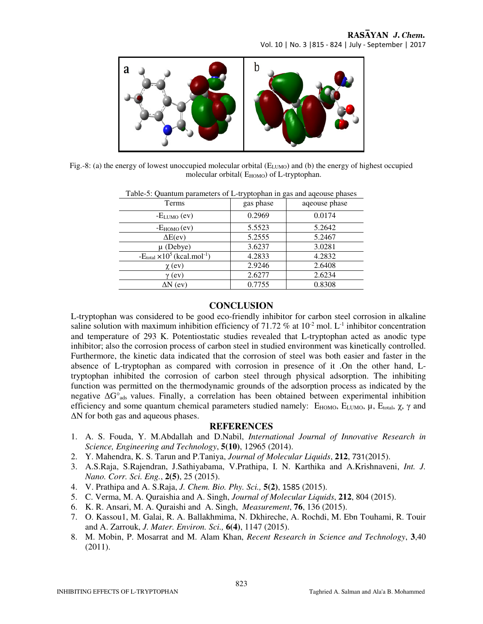

Fig.-8: (a) the energy of lowest unoccupied molecular orbital  $(E_{LUMO})$  and (b) the energy of highest occupied molecular orbital(  $E_{HOMO}$ ) of L-tryptophan.

| <b>Terms</b>                                              | gas phase | aqeouse phase |
|-----------------------------------------------------------|-----------|---------------|
| $-E_{LUMO}$ (ev)                                          | 0.2969    | 0.0174        |
| $-E_{HOMO}$ (ev)                                          | 5.5523    | 5.2642        |
| $\Delta E(ev)$                                            | 5.2555    | 5.2467        |
| $\mu$ (Debye)                                             | 3.6237    | 3.0281        |
| $-E_{\text{total}} \times 10^5$ (kcal.mol <sup>-1</sup> ) | 4.2833    | 4.2832        |
| $\chi$ (ev)                                               | 2.9246    | 2.6408        |
| $\gamma$ (ev)                                             | 2.6277    | 2.6234        |
| $\Delta N$ (ev)                                           | 0.7755    | 0.8308        |

Table-5: Quantum parameters of L-tryptophan in gas and aqeouse phases

# **CONCLUSION**

L-tryptophan was considered to be good eco-friendly inhibitor for carbon steel corrosion in alkaline saline solution with maximum inhibition efficiency of 71.72 % at  $10^{-2}$  mol. L<sup>-1</sup> inhibitor concentration and temperature of 293 K. Potentiostatic studies revealed that L-tryptophan acted as anodic type inhibitor; also the corrosion process of carbon steel in studied environment was kinetically controlled. Furthermore, the kinetic data indicated that the corrosion of steel was both easier and faster in the absence of L-tryptophan as compared with corrosion in presence of it .On the other hand, Ltryptophan inhibited the corrosion of carbon steel through physical adsorption. The inhibiting function was permitted on the thermodynamic grounds of the adsorption process as indicated by the negative ∆G°<sub>ads</sub> values. Finally, a correlation has been obtained between experimental inhibition efficiency and some quantum chemical parameters studied namely:  $E_{HOMO}$ ,  $E_{LUMO}$ ,  $μ$ ,  $E_{total}$ ,  $χ$ ,  $γ$  and ∆N for both gas and aqueous phases.

## **REFERENCES**

- 1. A. S. Fouda, Y. M.Abdallah and D.Nabil, *International Journal of Innovative Research in Science, Engineering and Technology*, **5(10)**, 12965 (2014).
- 2. Y. Mahendra, K. S. Tarun and P.Taniya, *Journal of Molecular Liquids*, **212**, 731(2015).
- 3. A.S.Raja, S.Rajendran, J.Sathiyabama, V.Prathipa, I. N. Karthika and A.Krishnaveni, *Int. J. Nano. Corr. Sci. Eng.*, **2(5)**, 25 (2015).
- 4. V. Prathipa and A. S.Raja, *J. Chem. Bio. Phy. Sci.,* **5(2)**, 1585 (2015).
- 5. C. Verma, M. A. Quraishia and A. Singh, *Journal of Molecular Liquids*, **212**, 804 (2015).
- 6. K. R. Ansari, M. A. Quraishi and A. Singh, *Measurement*, **76**, 136 (2015).
- 7. O. Kassou1, M. Galai, R. A. Ballakhmima, N. Dkhireche, A. Rochdi, M. Ebn Touhami, R. Touir and A. Zarrouk, *J. Mater. Environ. Sci.,* **6(4)**, 1147 (2015).
- 8. M. Mobin, P. Mosarrat and M. Alam Khan, *Recent Research in Science and Technology*, **3**,40 (2011).